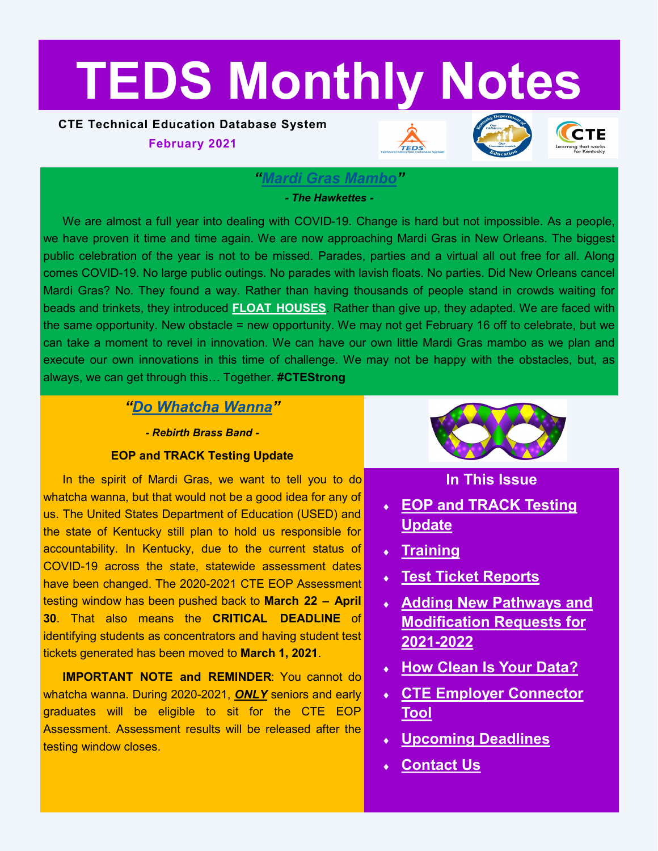# <span id="page-0-0"></span>**TEDS Monthly Notes**

### **CTE Technical Education Database System**

**February 2021**







#### *"[Mardi Gras Mambo](https://www.youtube.com/watch?v=0UPX0qVJ8H8)"*

#### *- The Hawkettes -*

We are almost a full year into dealing with COVID-19. Change is hard but not impossible. As a people, we have proven it time and time again. We are now approaching Mardi Gras in New Orleans. The biggest public celebration of the year is not to be missed. Parades, parties and a virtual all out free for all. Along comes COVID-19. No large public outings. No parades with lavish floats. No parties. Did New Orleans cancel Mardi Gras? No. They found a way. Rather than having thousands of people stand in crowds waiting for beads and trinkets, they introduced **[FLOAT HOUSES](https://www.nola.com/multimedia/photos/collection_57b3b908-54fb-11eb-af5d-8b79d450f1c0.html#1)**. Rather than give up, they adapted. We are faced with the same opportunity. New obstacle = new opportunity. We may not get February 16 off to celebrate, but we can take a moment to revel in innovation. We can have our own little Mardi Gras mambo as we plan and execute our own innovations in this time of challenge. We may not be happy with the obstacles, but, as always, we can get through this… Together. **#CTEStrong**

### *"[Do Whatcha Wanna](https://www.youtube.com/watch?v=X_AOwrXev60)"*

*- Rebirth Brass Band -*

#### **EOP and TRACK Testing Update**

In the spirit of Mardi Gras, we want to tell you to do whatcha wanna, but that would not be a good idea for any of us. The United States Department of Education (USED) and the state of Kentucky still plan to hold us responsible for accountability. In Kentucky, due to the current status of COVID-19 across the state, statewide assessment dates have been changed. The 2020-2021 CTE EOP Assessment testing window has been pushed back to **March 22 – April 30**. That also means the **CRITICAL DEADLINE** of identifying students as concentrators and having student test tickets generated has been moved to **March 1, 2021**.

**IMPORTANT NOTE and REMINDER**: You cannot do whatcha wanna. During 2020-2021, *ONLY* seniors and early graduates will be eligible to sit for the CTE EOP Assessment. Assessment results will be released after the testing window closes.



### **In This Issue**

- **[EOP and TRACK Testing](#page-0-0)  [Update](#page-0-0)**
- **[Training](#page-1-0)**
- **[Test Ticket Reports](#page-1-0)**
- **[Adding New Pathways and](#page-1-0)  [Modification Requests for](#page-1-0)  2021-[2022](#page-1-0)**
- **[How Clean Is Your Data?](#page-2-0)**
- **[CTE Employer Connector](#page-2-0)  [Tool](#page-2-0)**
- **[Upcoming Deadlines](#page-3-0)**
- **[Contact Us](#page-3-0)**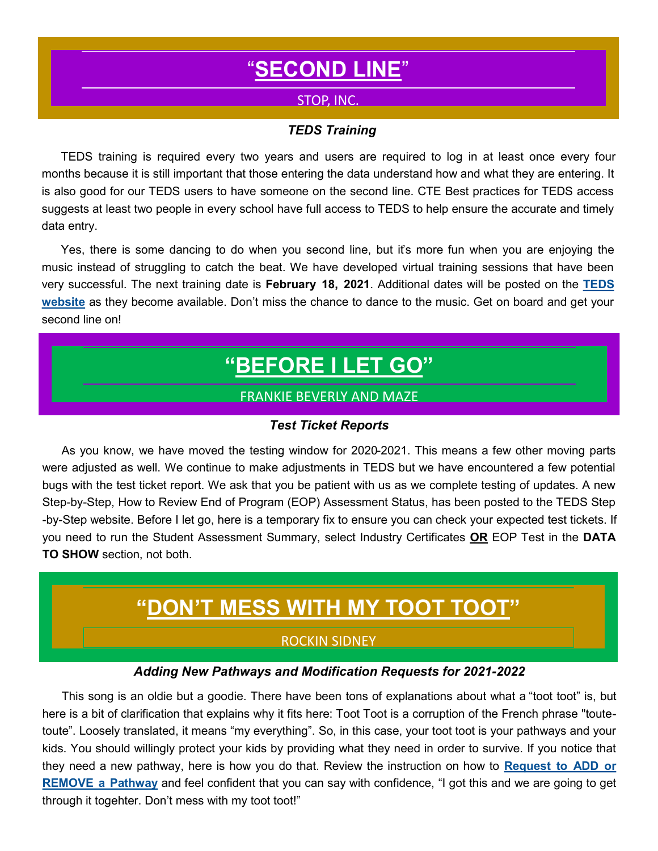# "**[SECOND LINE](https://www.youtube.com/watch?v=_cxDQuTK3WM)**"

#### STOP, INC.

#### *"TEDS Training*

<span id="page-1-0"></span>TEDS training is required every two years and users are required to log in at least once every four months because it is still important that those entering the data understand how and what they are entering. It is also good for our TEDS users to have someone on the second line. CTE Best practices for TEDS access suggests at least two people in every school have full access to TEDS to help ensure the accurate and timely data entry.

Yes, there is some dancing to do when you second line, but it's more fun when you are enjoying the music instead of struggling to catch the beat. We have developed virtual training sessions that have been very successful. The next training date is **February 18, 2021**. Additional dates will be posted on the **[TEDS](https://education.ky.gov/CTE/teds/Pages/default.aspx)  [website](https://education.ky.gov/CTE/teds/Pages/default.aspx)** as they become available. Don't miss the chance to dance to the music. Get on board and get your second line on!

## **"[BEFORE I LET GO](https://www.youtube.com/watch?v=W5WTjqZuL_c)"**

#### FRANKIE BEVERLY AND MAZE

#### *Test Ticket Reports*

As you know, we have moved the testing window for 2020-2021. This means a few other moving parts were adjusted as well. We continue to make adjustments in TEDS but we have encountered a few potential bugs with the test ticket report. We ask that you be patient with us as we complete testing of updates. A new Step-by-Step, How to Review End of Program (EOP) Assessment Status, has been posted to the TEDS Step -by-Step website. Before I let go, here is a temporary fix to ensure you can check your expected test tickets. If you need to run the Student Assessment Summary, select Industry Certificates **OR** EOP Test in the **DATA TO SHOW** section, not both.

### **"DON'[T MESS WITH MY TOOT TOOT](https://www.youtube.com/watch?v=ZM7e-7QNYnE&list=PLEettvwE6c0gcTZ7GVgW7SR25aPNoeO30&index=1)"**

#### ROCKIN SIDNEY

#### *Adding New Pathways and Modification Requests for 2021-2022*

This song is an oldie but a goodie. There have been tons of explanations about what a "toot toot" is, but here is a bit of clarification that explains why it fits here: Toot Toot is a corruption of the French phrase "toutetoute". Loosely translated, it means "my everything". So, in this case, your toot toot is your pathways and your kids. You should willingly protect your kids by providing what they need in order to survive. If you notice that they need a new pathway, here is how you do that. Review the instruction on how to **[Request to ADD or](https://education.ky.gov/CTE/teds/Documents/Add-Remove_Existing_Pathway_in_TEDS.pdf)  [REMOVE a Pathway](https://education.ky.gov/CTE/teds/Documents/Add-Remove_Existing_Pathway_in_TEDS.pdf)** and feel confident that you can say with confidence, "I got this and we are going to get through it togehter. Don't mess with my toot toot!"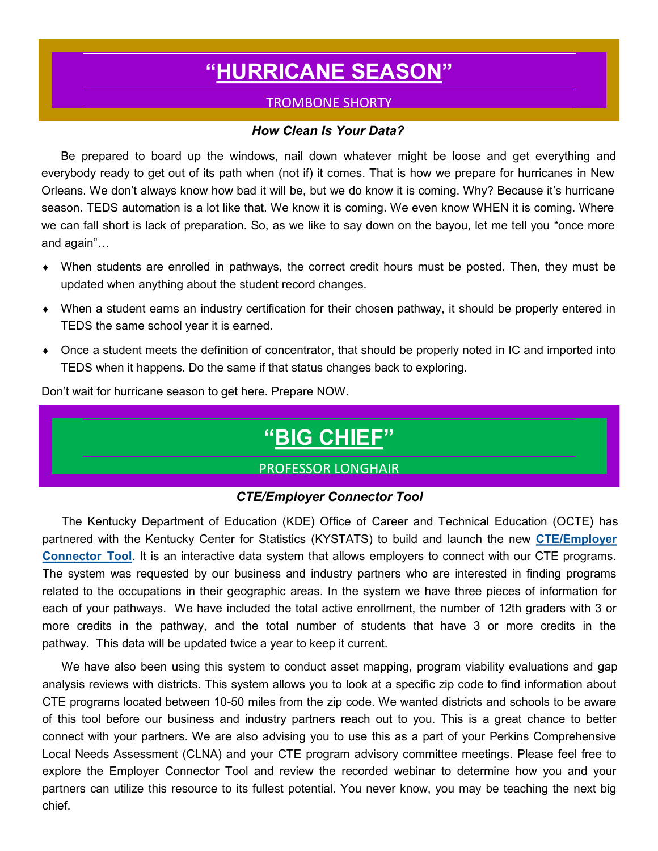# **"[HURRICANE SEASON](https://www.youtube.com/watch?v=zc88ovnl2N8)"**

### TROMBONE SHORTY

#### *How Clean Is Your Data?*

<span id="page-2-0"></span>Be prepared to board up the windows, nail down whatever might be loose and get everything and everybody ready to get out of its path when (not if) it comes. That is how we prepare for hurricanes in New Orleans. We don't always know how bad it will be, but we do know it is coming. Why? Because it's hurricane season. TEDS automation is a lot like that. We know it is coming. We even know WHEN it is coming. Where we can fall short is lack of preparation. So, as we like to say down on the bayou, let me tell you "once more and again"…

- When students are enrolled in pathways, the correct credit hours must be posted. Then, they must be updated when anything about the student record changes.
- When a student earns an industry certification for their chosen pathway, it should be properly entered in TEDS the same school year it is earned.
- Once a student meets the definition of concentrator, that should be properly noted in IC and imported into TEDS when it happens. Do the same if that status changes back to exploring.

Don't wait for hurricane season to get here. Prepare NOW.

### **"[BIG CHIEF](https://www.youtube.com/watch?v=4j5PprDVYgU)"**

#### PROFESSOR LONGHAIR

#### *CTE/Employer Connector Tool*

The Kentucky Department of Education (KDE) Office of Career and Technical Education (OCTE) has partnered with the Kentucky Center for Statistics (KYSTATS) to build and launch the new **[CTE/Employer](https://education.ky.gov/CTE/cter/Pages/TRACK-Res.aspx)  [Connector Tool](https://education.ky.gov/CTE/cter/Pages/TRACK-Res.aspx)**. It is an interactive data system that allows employers to connect with our CTE programs. The system was requested by our business and industry partners who are interested in finding programs related to the occupations in their geographic areas. In the system we have three pieces of information for each of your pathways. We have included the total active enrollment, the number of 12th graders with 3 or more credits in the pathway, and the total number of students that have 3 or more credits in the pathway. This data will be updated twice a year to keep it current.

We have also been using this system to conduct asset mapping, program viability evaluations and gap analysis reviews with districts. This system allows you to look at a specific zip code to find information about CTE programs located between 10-50 miles from the zip code. We wanted districts and schools to be aware of this tool before our business and industry partners reach out to you. This is a great chance to better connect with your partners. We are also advising you to use this as a part of your Perkins Comprehensive Local Needs Assessment (CLNA) and your CTE program advisory committee meetings. Please feel free to explore the Employer Connector Tool and review the recorded webinar to determine how you and your partners can utilize this resource to its fullest potential. You never know, you may be teaching the next big chief.